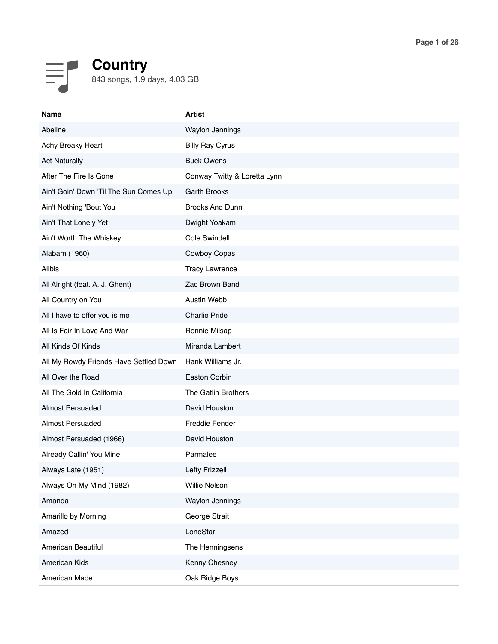## **Country** 843 songs, 1.9 days, 4.03 GB

| <b>Name</b>                            | <b>Artist</b>                |
|----------------------------------------|------------------------------|
| Abeline                                | Waylon Jennings              |
| Achy Breaky Heart                      | <b>Billy Ray Cyrus</b>       |
| <b>Act Naturally</b>                   | <b>Buck Owens</b>            |
| After The Fire Is Gone                 | Conway Twitty & Loretta Lynn |
| Ain't Goin' Down 'Til The Sun Comes Up | <b>Garth Brooks</b>          |
| Ain't Nothing 'Bout You                | <b>Brooks And Dunn</b>       |
| Ain't That Lonely Yet                  | Dwight Yoakam                |
| Ain't Worth The Whiskey                | Cole Swindell                |
| Alabam (1960)                          | Cowboy Copas                 |
| <b>Alibis</b>                          | <b>Tracy Lawrence</b>        |
| All Alright (feat. A. J. Ghent)        | Zac Brown Band               |
| All Country on You                     | <b>Austin Webb</b>           |
| All I have to offer you is me          | <b>Charlie Pride</b>         |
| All Is Fair In Love And War            | Ronnie Milsap                |
| All Kinds Of Kinds                     | Miranda Lambert              |
| All My Rowdy Friends Have Settled Down | Hank Williams Jr.            |
| All Over the Road                      | Easton Corbin                |
| All The Gold In California             | The Gatlin Brothers          |
| <b>Almost Persuaded</b>                | David Houston                |
| <b>Almost Persuaded</b>                | Freddie Fender               |
| Almost Persuaded (1966)                | David Houston                |
| Already Callin' You Mine               | Parmalee                     |
| Always Late (1951)                     | <b>Lefty Frizzell</b>        |
| Always On My Mind (1982)               | Willie Nelson                |
| Amanda                                 | Waylon Jennings              |
| Amarillo by Morning                    | George Strait                |
| Amazed                                 | LoneStar                     |
| American Beautiful                     | The Henningsens              |
| American Kids                          | Kenny Chesney                |
| American Made                          | Oak Ridge Boys               |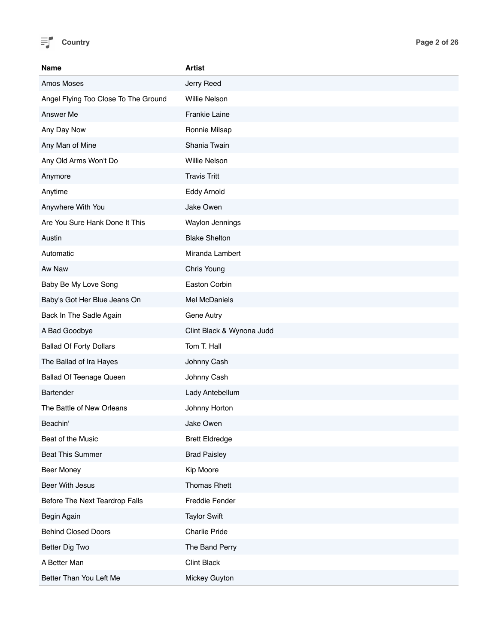

| <b>Name</b>                          | <b>Artist</b>             |
|--------------------------------------|---------------------------|
| Amos Moses                           | Jerry Reed                |
| Angel Flying Too Close To The Ground | Willie Nelson             |
| Answer Me                            | Frankie Laine             |
| Any Day Now                          | Ronnie Milsap             |
| Any Man of Mine                      | Shania Twain              |
| Any Old Arms Won't Do                | Willie Nelson             |
| Anymore                              | <b>Travis Tritt</b>       |
| Anytime                              | Eddy Arnold               |
| Anywhere With You                    | Jake Owen                 |
| Are You Sure Hank Done It This       | Waylon Jennings           |
| Austin                               | <b>Blake Shelton</b>      |
| Automatic                            | Miranda Lambert           |
| Aw Naw                               | Chris Young               |
| Baby Be My Love Song                 | Easton Corbin             |
| Baby's Got Her Blue Jeans On         | Mel McDaniels             |
| Back In The Sadle Again              | Gene Autry                |
| A Bad Goodbye                        | Clint Black & Wynona Judd |
| <b>Ballad Of Forty Dollars</b>       | Tom T. Hall               |
| The Ballad of Ira Hayes              | Johnny Cash               |
| <b>Ballad Of Teenage Queen</b>       | Johnny Cash               |
| Bartender                            | Lady Antebellum           |
| The Battle of New Orleans            | Johnny Horton             |
| Beachin'                             | Jake Owen                 |
| Beat of the Music                    | <b>Brett Eldredge</b>     |
| <b>Beat This Summer</b>              | <b>Brad Paisley</b>       |
| Beer Money                           | Kip Moore                 |
| Beer With Jesus                      | <b>Thomas Rhett</b>       |
| Before The Next Teardrop Falls       | Freddie Fender            |
| Begin Again                          | <b>Taylor Swift</b>       |
| <b>Behind Closed Doors</b>           | Charlie Pride             |
| Better Dig Two                       | The Band Perry            |
| A Better Man                         | <b>Clint Black</b>        |
| Better Than You Left Me              | Mickey Guyton             |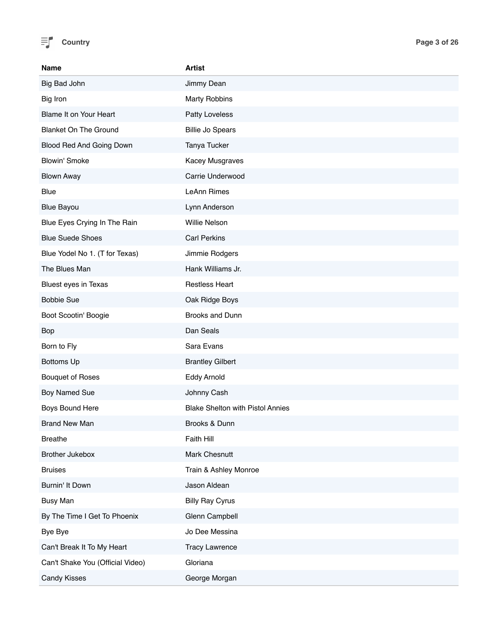

| Name                             | <b>Artist</b>                           |
|----------------------------------|-----------------------------------------|
| Big Bad John                     | Jimmy Dean                              |
| Big Iron                         | <b>Marty Robbins</b>                    |
| Blame It on Your Heart           | Patty Loveless                          |
| <b>Blanket On The Ground</b>     | <b>Billie Jo Spears</b>                 |
| Blood Red And Going Down         | Tanya Tucker                            |
| <b>Blowin' Smoke</b>             | Kacey Musgraves                         |
| <b>Blown Away</b>                | Carrie Underwood                        |
| <b>Blue</b>                      | LeAnn Rimes                             |
| <b>Blue Bayou</b>                | Lynn Anderson                           |
| Blue Eyes Crying In The Rain     | Willie Nelson                           |
| <b>Blue Suede Shoes</b>          | <b>Carl Perkins</b>                     |
| Blue Yodel No 1. (T for Texas)   | Jimmie Rodgers                          |
| The Blues Man                    | Hank Williams Jr.                       |
| <b>Bluest eyes in Texas</b>      | <b>Restless Heart</b>                   |
| <b>Bobbie Sue</b>                | Oak Ridge Boys                          |
| Boot Scootin' Boogie             | Brooks and Dunn                         |
| Bop                              | Dan Seals                               |
| Born to Fly                      | Sara Evans                              |
| <b>Bottoms Up</b>                | <b>Brantley Gilbert</b>                 |
| <b>Bouquet of Roses</b>          | Eddy Arnold                             |
| Boy Named Sue                    | Johnny Cash                             |
| Boys Bound Here                  | <b>Blake Shelton with Pistol Annies</b> |
| <b>Brand New Man</b>             | Brooks & Dunn                           |
| <b>Breathe</b>                   | <b>Faith Hill</b>                       |
| <b>Brother Jukebox</b>           | Mark Chesnutt                           |
| <b>Bruises</b>                   | Train & Ashley Monroe                   |
| Burnin' It Down                  | Jason Aldean                            |
| <b>Busy Man</b>                  | <b>Billy Ray Cyrus</b>                  |
| By The Time I Get To Phoenix     | Glenn Campbell                          |
| Bye Bye                          | Jo Dee Messina                          |
| Can't Break It To My Heart       | <b>Tracy Lawrence</b>                   |
| Can't Shake You (Official Video) | Gloriana                                |
| <b>Candy Kisses</b>              | George Morgan                           |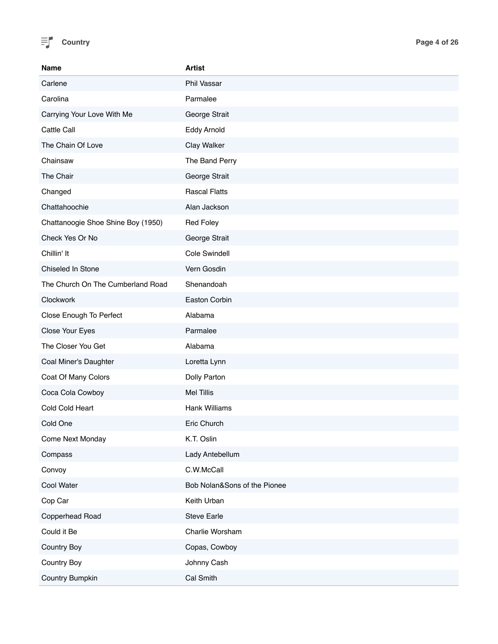

| <b>Name</b>                        | <b>Artist</b>                |
|------------------------------------|------------------------------|
| Carlene                            | Phil Vassar                  |
| Carolina                           | Parmalee                     |
| Carrying Your Love With Me         | George Strait                |
| Cattle Call                        | Eddy Arnold                  |
| The Chain Of Love                  | Clay Walker                  |
| Chainsaw                           | The Band Perry               |
| The Chair                          | George Strait                |
| Changed                            | <b>Rascal Flatts</b>         |
| Chattahoochie                      | Alan Jackson                 |
| Chattanoogie Shoe Shine Boy (1950) | <b>Red Foley</b>             |
| Check Yes Or No                    | George Strait                |
| Chillin' It                        | <b>Cole Swindell</b>         |
| Chiseled In Stone                  | Vern Gosdin                  |
| The Church On The Cumberland Road  | Shenandoah                   |
| Clockwork                          | Easton Corbin                |
| Close Enough To Perfect            | Alabama                      |
| Close Your Eyes                    | Parmalee                     |
| The Closer You Get                 | Alabama                      |
| Coal Miner's Daughter              | Loretta Lynn                 |
| Coat Of Many Colors                | Dolly Parton                 |
| Coca Cola Cowboy                   | <b>Mel Tillis</b>            |
| Cold Cold Heart                    | Hank Williams                |
| Cold One                           | Eric Church                  |
| Come Next Monday                   | K.T. Oslin                   |
| Compass                            | Lady Antebellum              |
| Convoy                             | C.W.McCall                   |
| Cool Water                         | Bob Nolan&Sons of the Pionee |
| Cop Car                            | Keith Urban                  |
| Copperhead Road                    | <b>Steve Earle</b>           |
| Could it Be                        | Charlie Worsham              |
| Country Boy                        | Copas, Cowboy                |
| Country Boy                        | Johnny Cash                  |
| Country Bumpkin                    | Cal Smith                    |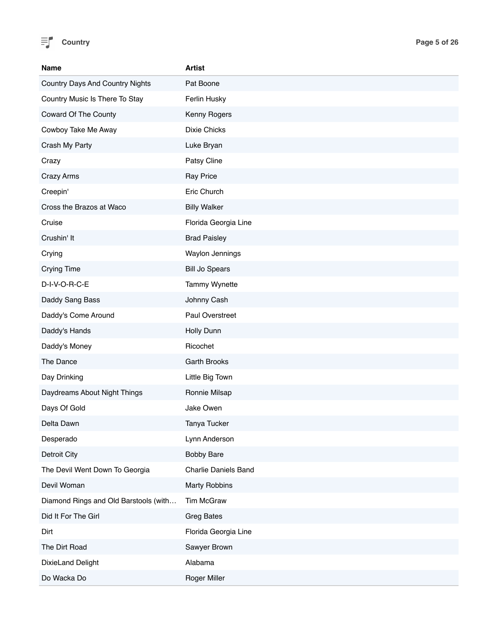

| <b>Name</b>                           | <b>Artist</b>               |
|---------------------------------------|-----------------------------|
| Country Days And Country Nights       | Pat Boone                   |
| Country Music Is There To Stay        | Ferlin Husky                |
| Coward Of The County                  | Kenny Rogers                |
| Cowboy Take Me Away                   | <b>Dixie Chicks</b>         |
| Crash My Party                        | Luke Bryan                  |
| Crazy                                 | Patsy Cline                 |
| Crazy Arms                            | <b>Ray Price</b>            |
| Creepin'                              | Eric Church                 |
| Cross the Brazos at Waco              | <b>Billy Walker</b>         |
| Cruise                                | Florida Georgia Line        |
| Crushin' It                           | <b>Brad Paisley</b>         |
| Crying                                | Waylon Jennings             |
| <b>Crying Time</b>                    | <b>Bill Jo Spears</b>       |
| D-I-V-O-R-C-E                         | Tammy Wynette               |
| Daddy Sang Bass                       | Johnny Cash                 |
| Daddy's Come Around                   | Paul Overstreet             |
| Daddy's Hands                         | Holly Dunn                  |
| Daddy's Money                         | Ricochet                    |
| The Dance                             | <b>Garth Brooks</b>         |
| Day Drinking                          | Little Big Town             |
| Daydreams About Night Things          | Ronnie Milsap               |
| Days Of Gold                          | Jake Owen                   |
| Delta Dawn                            | Tanya Tucker                |
| Desperado                             | Lynn Anderson               |
| Detroit City                          | <b>Bobby Bare</b>           |
| The Devil Went Down To Georgia        | <b>Charlie Daniels Band</b> |
| Devil Woman                           | <b>Marty Robbins</b>        |
| Diamond Rings and Old Barstools (with | Tim McGraw                  |
| Did It For The Girl                   | <b>Greg Bates</b>           |
| Dirt                                  | Florida Georgia Line        |
| The Dirt Road                         | Sawyer Brown                |
| DixieLand Delight                     | Alabama                     |
| Do Wacka Do                           | Roger Miller                |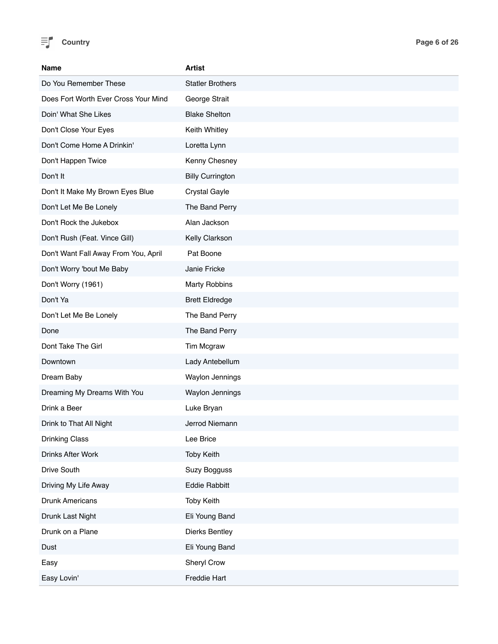

| Name                                 | Artist                  |
|--------------------------------------|-------------------------|
| Do You Remember These                | <b>Statler Brothers</b> |
| Does Fort Worth Ever Cross Your Mind | George Strait           |
| Doin' What She Likes                 | <b>Blake Shelton</b>    |
| Don't Close Your Eyes                | Keith Whitley           |
| Don't Come Home A Drinkin'           | Loretta Lynn            |
| Don't Happen Twice                   | Kenny Chesney           |
| Don't It                             | <b>Billy Currington</b> |
| Don't It Make My Brown Eyes Blue     | <b>Crystal Gayle</b>    |
| Don't Let Me Be Lonely               | The Band Perry          |
| Don't Rock the Jukebox               | Alan Jackson            |
| Don't Rush (Feat. Vince Gill)        | Kelly Clarkson          |
| Don't Want Fall Away From You, April | Pat Boone               |
| Don't Worry 'bout Me Baby            | Janie Fricke            |
| Don't Worry (1961)                   | <b>Marty Robbins</b>    |
| Don't Ya                             | <b>Brett Eldredge</b>   |
| Don't Let Me Be Lonely               | The Band Perry          |
| Done                                 | The Band Perry          |
| Dont Take The Girl                   | Tim Mcgraw              |
| Downtown                             | Lady Antebellum         |
| Dream Baby                           | Waylon Jennings         |
| Dreaming My Dreams With You          | <b>Waylon Jennings</b>  |
| Drink a Beer                         | Luke Bryan              |
| Drink to That All Night              | Jerrod Niemann          |
| <b>Drinking Class</b>                | Lee Brice               |
| Drinks After Work                    | <b>Toby Keith</b>       |
| Drive South                          | <b>Suzy Bogguss</b>     |
| Driving My Life Away                 | <b>Eddie Rabbitt</b>    |
| Drunk Americans                      | <b>Toby Keith</b>       |
| Drunk Last Night                     | Eli Young Band          |
| Drunk on a Plane                     | Dierks Bentley          |
| Dust                                 | Eli Young Band          |
| Easy                                 | Sheryl Crow             |
| Easy Lovin'                          | Freddie Hart            |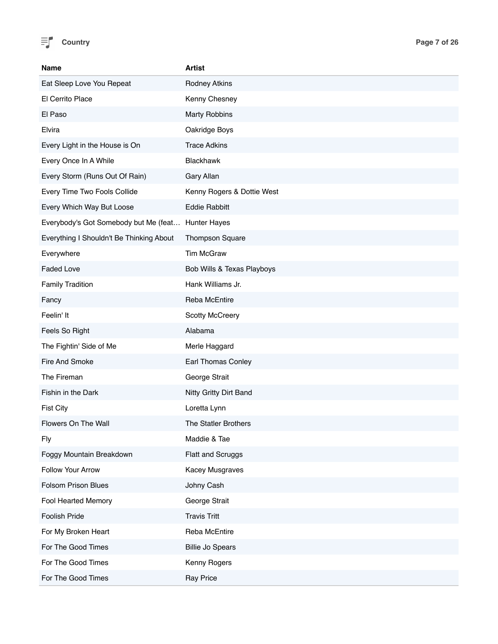

| <b>Name</b>                              | <b>Artist</b>              |
|------------------------------------------|----------------------------|
| Eat Sleep Love You Repeat                | <b>Rodney Atkins</b>       |
| El Cerrito Place                         | Kenny Chesney              |
| El Paso                                  | <b>Marty Robbins</b>       |
| Elvira                                   | Oakridge Boys              |
| Every Light in the House is On           | <b>Trace Adkins</b>        |
| Every Once In A While                    | <b>Blackhawk</b>           |
| Every Storm (Runs Out Of Rain)           | Gary Allan                 |
| Every Time Two Fools Collide             | Kenny Rogers & Dottie West |
| Every Which Way But Loose                | <b>Eddie Rabbitt</b>       |
| Everybody's Got Somebody but Me (feat    | Hunter Hayes               |
| Everything I Shouldn't Be Thinking About | <b>Thompson Square</b>     |
| Everywhere                               | <b>Tim McGraw</b>          |
| <b>Faded Love</b>                        | Bob Wills & Texas Playboys |
| <b>Family Tradition</b>                  | Hank Williams Jr.          |
| Fancy                                    | Reba McEntire              |
| Feelin' It                               | <b>Scotty McCreery</b>     |
| Feels So Right                           | Alabama                    |
| The Fightin' Side of Me                  | Merle Haggard              |
| Fire And Smoke                           | Earl Thomas Conley         |
| The Fireman                              | George Strait              |
| Fishin in the Dark                       | Nitty Gritty Dirt Band     |
| <b>Fist City</b>                         | Loretta Lynn               |
| Flowers On The Wall                      | The Statler Brothers       |
| <b>Fly</b>                               | Maddie & Tae               |
| Foggy Mountain Breakdown                 | Flatt and Scruggs          |
| Follow Your Arrow                        | Kacey Musgraves            |
| <b>Folsom Prison Blues</b>               | Johny Cash                 |
| Fool Hearted Memory                      | George Strait              |
| Foolish Pride                            | <b>Travis Tritt</b>        |
| For My Broken Heart                      | Reba McEntire              |
| For The Good Times                       | <b>Billie Jo Spears</b>    |
| For The Good Times                       | Kenny Rogers               |
| For The Good Times                       | <b>Ray Price</b>           |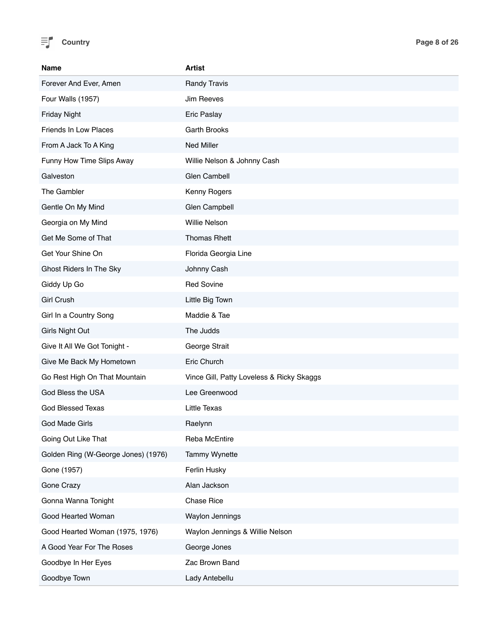

| Name                                | <b>Artist</b>                             |
|-------------------------------------|-------------------------------------------|
| Forever And Ever, Amen              | <b>Randy Travis</b>                       |
| Four Walls (1957)                   | Jim Reeves                                |
| <b>Friday Night</b>                 | Eric Paslay                               |
| Friends In Low Places               | <b>Garth Brooks</b>                       |
| From A Jack To A King               | <b>Ned Miller</b>                         |
| Funny How Time Slips Away           | Willie Nelson & Johnny Cash               |
| Galveston                           | Glen Cambell                              |
| The Gambler                         | Kenny Rogers                              |
| Gentle On My Mind                   | Glen Campbell                             |
| Georgia on My Mind                  | Willie Nelson                             |
| Get Me Some of That                 | <b>Thomas Rhett</b>                       |
| Get Your Shine On                   | Florida Georgia Line                      |
| Ghost Riders In The Sky             | Johnny Cash                               |
| Giddy Up Go                         | <b>Red Sovine</b>                         |
| Girl Crush                          | Little Big Town                           |
| Girl In a Country Song              | Maddie & Tae                              |
| <b>Girls Night Out</b>              | The Judds                                 |
| Give It All We Got Tonight -        | George Strait                             |
| Give Me Back My Hometown            | Eric Church                               |
| Go Rest High On That Mountain       | Vince Gill, Patty Loveless & Ricky Skaggs |
| God Bless the USA                   | Lee Greenwood                             |
| God Blessed Texas                   | <b>Little Texas</b>                       |
| <b>God Made Girls</b>               | Raelynn                                   |
| Going Out Like That                 | Reba McEntire                             |
| Golden Ring (W-George Jones) (1976) | <b>Tammy Wynette</b>                      |
| Gone (1957)                         | Ferlin Husky                              |
| Gone Crazy                          | Alan Jackson                              |
| Gonna Wanna Tonight                 | Chase Rice                                |
| Good Hearted Woman                  | Waylon Jennings                           |
| Good Hearted Woman (1975, 1976)     | Waylon Jennings & Willie Nelson           |
| A Good Year For The Roses           | George Jones                              |
| Goodbye In Her Eyes                 | Zac Brown Band                            |
| Goodbye Town                        | Lady Antebellu                            |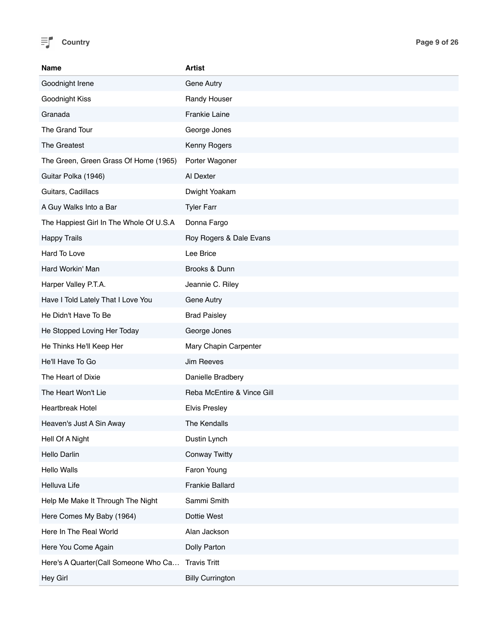

| <b>Name</b>                             | <b>Artist</b>              |
|-----------------------------------------|----------------------------|
| Goodnight Irene                         | Gene Autry                 |
| Goodnight Kiss                          | Randy Houser               |
| Granada                                 | Frankie Laine              |
| The Grand Tour                          | George Jones               |
| The Greatest                            | Kenny Rogers               |
| The Green, Green Grass Of Home (1965)   | Porter Wagoner             |
| Guitar Polka (1946)                     | Al Dexter                  |
| Guitars, Cadillacs                      | Dwight Yoakam              |
| A Guy Walks Into a Bar                  | <b>Tyler Farr</b>          |
| The Happiest Girl In The Whole Of U.S.A | Donna Fargo                |
| <b>Happy Trails</b>                     | Roy Rogers & Dale Evans    |
| Hard To Love                            | Lee Brice                  |
| Hard Workin' Man                        | Brooks & Dunn              |
| Harper Valley P.T.A.                    | Jeannie C. Riley           |
| Have I Told Lately That I Love You      | Gene Autry                 |
| He Didn't Have To Be                    | <b>Brad Paisley</b>        |
| He Stopped Loving Her Today             | George Jones               |
| He Thinks He'll Keep Her                | Mary Chapin Carpenter      |
| He'll Have To Go                        | Jim Reeves                 |
| The Heart of Dixie                      | Danielle Bradbery          |
| The Heart Won't Lie                     | Reba McEntire & Vince Gill |
| <b>Heartbreak Hotel</b>                 | <b>Elvis Presley</b>       |
| Heaven's Just A Sin Away                | The Kendalls               |
| Hell Of A Night                         | Dustin Lynch               |
| Hello Darlin                            | <b>Conway Twitty</b>       |
| <b>Hello Walls</b>                      | Faron Young                |
| Helluva Life                            | Frankie Ballard            |
| Help Me Make It Through The Night       | Sammi Smith                |
| Here Comes My Baby (1964)               | Dottie West                |
| Here In The Real World                  | Alan Jackson               |
| Here You Come Again                     | Dolly Parton               |
| Here's A Quarter(Call Someone Who Ca    | <b>Travis Tritt</b>        |
| Hey Girl                                | <b>Billy Currington</b>    |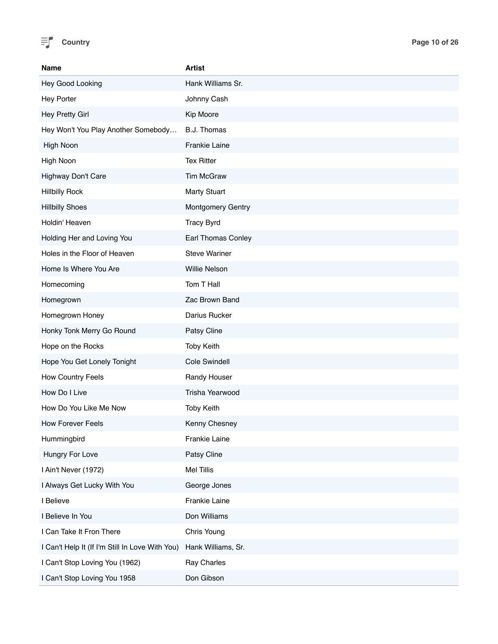

| <b>Name</b>                                     | <b>Artist</b>             |
|-------------------------------------------------|---------------------------|
| Hey Good Looking                                | Hank Williams Sr.         |
| <b>Hey Porter</b>                               | Johnny Cash               |
| Hey Pretty Girl                                 | Kip Moore                 |
| Hey Won't You Play Another Somebody             | B.J. Thomas               |
| High Noon                                       | <b>Frankie Laine</b>      |
| High Noon                                       | <b>Tex Ritter</b>         |
| Highway Don't Care                              | <b>Tim McGraw</b>         |
| <b>Hillbilly Rock</b>                           | <b>Marty Stuart</b>       |
| <b>Hillbilly Shoes</b>                          | Montgomery Gentry         |
| Holdin' Heaven                                  | <b>Tracy Byrd</b>         |
| Holding Her and Loving You                      | <b>Earl Thomas Conley</b> |
| Holes in the Floor of Heaven                    | <b>Steve Wariner</b>      |
| Home Is Where You Are                           | Willie Nelson             |
| Homecoming                                      | Tom T Hall                |
| Homegrown                                       | Zac Brown Band            |
| Homegrown Honey                                 | Darius Rucker             |
| Honky Tonk Merry Go Round                       | Patsy Cline               |
| Hope on the Rocks                               | <b>Toby Keith</b>         |
| Hope You Get Lonely Tonight                     | Cole Swindell             |
| How Country Feels                               | Randy Houser              |
| How Do I Live                                   | Trisha Yearwood           |
| How Do You Like Me Now                          | <b>Toby Keith</b>         |
| <b>How Forever Feels</b>                        | Kenny Chesney             |
| Hummingbird                                     | Frankie Laine             |
| Hungry For Love                                 | Patsy Cline               |
| I Ain't Never (1972)                            | <b>Mel Tillis</b>         |
| I Always Get Lucky With You                     | George Jones              |
| I Believe                                       | Frankie Laine             |
| I Believe In You                                | Don Williams              |
| I Can Take It Fron There                        | Chris Young               |
| I Can't Help It (If I'm Still In Love With You) | Hank Williams, Sr.        |
| I Can't Stop Loving You (1962)                  | Ray Charles               |
| I Can't Stop Loving You 1958                    | Don Gibson                |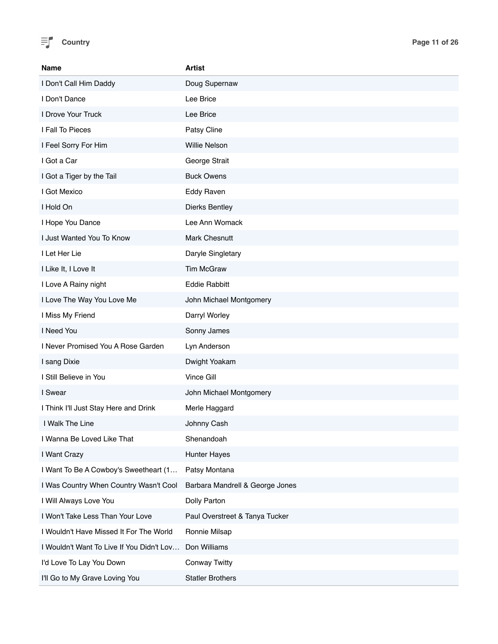

| <b>Name</b>                               | Artist                          |
|-------------------------------------------|---------------------------------|
| I Don't Call Him Daddy                    | Doug Supernaw                   |
| I Don't Dance                             | Lee Brice                       |
| I Drove Your Truck                        | Lee Brice                       |
| I Fall To Pieces                          | Patsy Cline                     |
| I Feel Sorry For Him                      | Willie Nelson                   |
| I Got a Car                               | George Strait                   |
| I Got a Tiger by the Tail                 | <b>Buck Owens</b>               |
| I Got Mexico                              | Eddy Raven                      |
| I Hold On                                 | <b>Dierks Bentley</b>           |
| I Hope You Dance                          | Lee Ann Womack                  |
| I Just Wanted You To Know                 | Mark Chesnutt                   |
| I Let Her Lie                             | Daryle Singletary               |
| I Like It, I Love It                      | <b>Tim McGraw</b>               |
| I Love A Rainy night                      | <b>Eddie Rabbitt</b>            |
| I Love The Way You Love Me                | John Michael Montgomery         |
| I Miss My Friend                          | Darryl Worley                   |
| I Need You                                | Sonny James                     |
| I Never Promised You A Rose Garden        | Lyn Anderson                    |
| I sang Dixie                              | Dwight Yoakam                   |
| I Still Believe in You                    | Vince Gill                      |
| I Swear                                   | John Michael Montgomery         |
| I Think I'll Just Stay Here and Drink     | Merle Haggard                   |
| I Walk The Line                           | Johnny Cash                     |
| I Wanna Be Loved Like That                | Shenandoah                      |
| I Want Crazy                              | <b>Hunter Hayes</b>             |
| I Want To Be A Cowboy's Sweetheart (1     | Patsy Montana                   |
| I Was Country When Country Wasn't Cool    | Barbara Mandrell & George Jones |
| I Will Always Love You                    | Dolly Parton                    |
| I Won't Take Less Than Your Love          | Paul Overstreet & Tanya Tucker  |
| I Wouldn't Have Missed It For The World   | Ronnie Milsap                   |
| I Wouldn't Want To Live If You Didn't Lov | Don Williams                    |
| I'd Love To Lay You Down                  | <b>Conway Twitty</b>            |
| I'll Go to My Grave Loving You            | <b>Statler Brothers</b>         |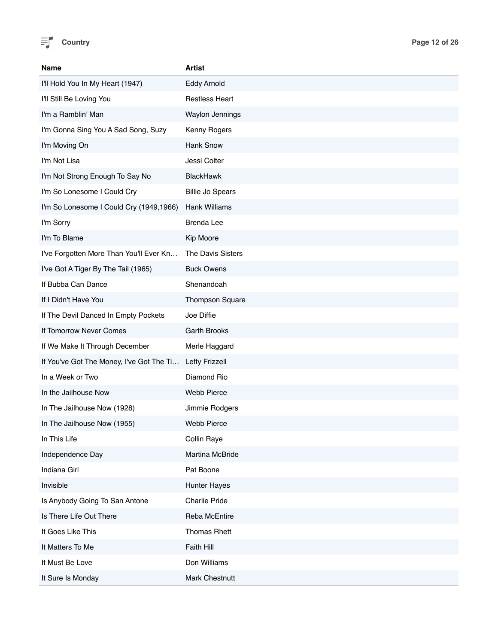

| Name                                     | <b>Artist</b>           |
|------------------------------------------|-------------------------|
| I'll Hold You In My Heart (1947)         | <b>Eddy Arnold</b>      |
| I'll Still Be Loving You                 | <b>Restless Heart</b>   |
| I'm a Ramblin' Man                       | Waylon Jennings         |
| I'm Gonna Sing You A Sad Song, Suzy      | Kenny Rogers            |
| I'm Moving On                            | <b>Hank Snow</b>        |
| I'm Not Lisa                             | Jessi Colter            |
| I'm Not Strong Enough To Say No          | <b>BlackHawk</b>        |
| I'm So Lonesome I Could Cry              | <b>Billie Jo Spears</b> |
| I'm So Lonesome I Could Cry (1949,1966)  | Hank Williams           |
| I'm Sorry                                | <b>Brenda Lee</b>       |
| I'm To Blame                             | Kip Moore               |
| I've Forgotten More Than You'll Ever Kn  | The Davis Sisters       |
| I've Got A Tiger By The Tail (1965)      | <b>Buck Owens</b>       |
| If Bubba Can Dance                       | Shenandoah              |
| If I Didn't Have You                     | <b>Thompson Square</b>  |
| If The Devil Danced In Empty Pockets     | Joe Diffie              |
| If Tomorrow Never Comes                  | <b>Garth Brooks</b>     |
| If We Make It Through December           | Merle Haggard           |
| If You've Got The Money, I've Got The Ti | <b>Lefty Frizzell</b>   |
| In a Week or Two                         | Diamond Rio             |
| In the Jailhouse Now                     | Webb Pierce             |
| In The Jailhouse Now (1928)              | Jimmie Rodgers          |
| In The Jailhouse Now (1955)              | <b>Webb Pierce</b>      |
| In This Life                             | Collin Raye             |
| Independence Day                         | Martina McBride         |
| Indiana Girl                             | Pat Boone               |
| Invisible                                | <b>Hunter Hayes</b>     |
| Is Anybody Going To San Antone           | <b>Charlie Pride</b>    |
| Is There Life Out There                  | Reba McEntire           |
| It Goes Like This                        | <b>Thomas Rhett</b>     |
| It Matters To Me                         | Faith Hill              |
| It Must Be Love                          | Don Williams            |
| It Sure Is Monday                        | Mark Chestnutt          |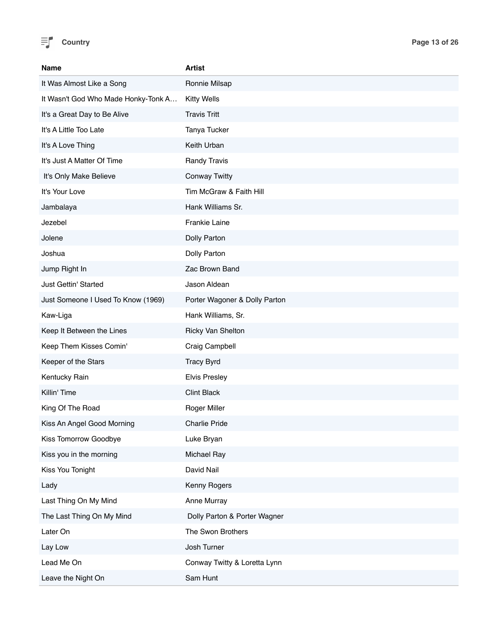

| <b>Name</b>                         | <b>Artist</b>                 |
|-------------------------------------|-------------------------------|
| It Was Almost Like a Song           | Ronnie Milsap                 |
| It Wasn't God Who Made Honky-Tonk A | <b>Kitty Wells</b>            |
| It's a Great Day to Be Alive        | <b>Travis Tritt</b>           |
| It's A Little Too Late              | Tanya Tucker                  |
| It's A Love Thing                   | Keith Urban                   |
| It's Just A Matter Of Time          | Randy Travis                  |
| It's Only Make Believe              | <b>Conway Twitty</b>          |
| It's Your Love                      | Tim McGraw & Faith Hill       |
| Jambalaya                           | Hank Williams Sr.             |
| Jezebel                             | Frankie Laine                 |
| Jolene                              | Dolly Parton                  |
| Joshua                              | Dolly Parton                  |
| Jump Right In                       | Zac Brown Band                |
| Just Gettin' Started                | Jason Aldean                  |
| Just Someone I Used To Know (1969)  | Porter Wagoner & Dolly Parton |
| Kaw-Liga                            | Hank Williams, Sr.            |
| Keep It Between the Lines           | Ricky Van Shelton             |
| Keep Them Kisses Comin'             | Craig Campbell                |
| Keeper of the Stars                 | <b>Tracy Byrd</b>             |
| Kentucky Rain                       | <b>Elvis Presley</b>          |
| Killin' Time                        | <b>Clint Black</b>            |
| King Of The Road                    | Roger Miller                  |
| Kiss An Angel Good Morning          | <b>Charlie Pride</b>          |
| Kiss Tomorrow Goodbye               | Luke Bryan                    |
| Kiss you in the morning             | Michael Ray                   |
| Kiss You Tonight                    | David Nail                    |
| Lady                                | Kenny Rogers                  |
| Last Thing On My Mind               | Anne Murray                   |
| The Last Thing On My Mind           | Dolly Parton & Porter Wagner  |
| Later On                            | The Swon Brothers             |
| Lay Low                             | Josh Turner                   |
| Lead Me On                          | Conway Twitty & Loretta Lynn  |
| Leave the Night On                  | Sam Hunt                      |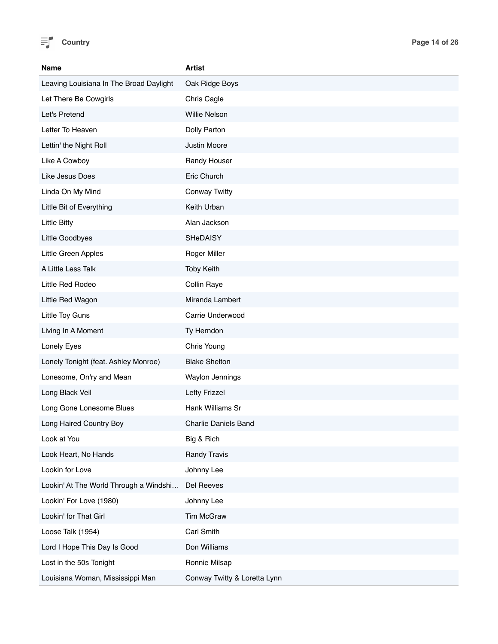

| Name                                    | Artist                       |
|-----------------------------------------|------------------------------|
| Leaving Louisiana In The Broad Daylight | Oak Ridge Boys               |
| Let There Be Cowgirls                   | Chris Cagle                  |
| Let's Pretend                           | Willie Nelson                |
| Letter To Heaven                        | Dolly Parton                 |
| Lettin' the Night Roll                  | Justin Moore                 |
| Like A Cowboy                           | Randy Houser                 |
| Like Jesus Does                         | Eric Church                  |
| Linda On My Mind                        | <b>Conway Twitty</b>         |
| Little Bit of Everything                | Keith Urban                  |
| <b>Little Bitty</b>                     | Alan Jackson                 |
| Little Goodbyes                         | SHeDAISY                     |
| Little Green Apples                     | Roger Miller                 |
| A Little Less Talk                      | <b>Toby Keith</b>            |
| Little Red Rodeo                        | Collin Raye                  |
| Little Red Wagon                        | Miranda Lambert              |
| Little Toy Guns                         | Carrie Underwood             |
| Living In A Moment                      | Ty Herndon                   |
| Lonely Eyes                             | Chris Young                  |
| Lonely Tonight (feat. Ashley Monroe)    | <b>Blake Shelton</b>         |
| Lonesome, On'ry and Mean                | Waylon Jennings              |
| Long Black Veil                         | Lefty Frizzel                |
| Long Gone Lonesome Blues                | Hank Williams Sr             |
| Long Haired Country Boy                 | <b>Charlie Daniels Band</b>  |
| Look at You                             | Big & Rich                   |
| Look Heart, No Hands                    | <b>Randy Travis</b>          |
| Lookin for Love                         | Johnny Lee                   |
| Lookin' At The World Through a Windshi  | Del Reeves                   |
| Lookin' For Love (1980)                 | Johnny Lee                   |
| Lookin' for That Girl                   | Tim McGraw                   |
| Loose Talk (1954)                       | Carl Smith                   |
| Lord I Hope This Day Is Good            | Don Williams                 |
| Lost in the 50s Tonight                 | Ronnie Milsap                |
| Louisiana Woman, Mississippi Man        | Conway Twitty & Loretta Lynn |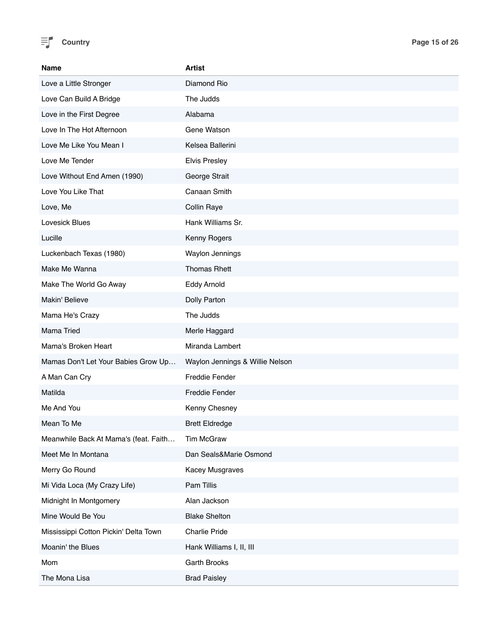

| <b>Name</b>                           | Artist                          |
|---------------------------------------|---------------------------------|
| Love a Little Stronger                | Diamond Rio                     |
| Love Can Build A Bridge               | The Judds                       |
| Love in the First Degree              | Alabama                         |
| Love In The Hot Afternoon             | Gene Watson                     |
| Love Me Like You Mean I               | Kelsea Ballerini                |
| Love Me Tender                        | <b>Elvis Presley</b>            |
| Love Without End Amen (1990)          | George Strait                   |
| Love You Like That                    | Canaan Smith                    |
| Love, Me                              | Collin Raye                     |
| Lovesick Blues                        | Hank Williams Sr.               |
| Lucille                               | Kenny Rogers                    |
| Luckenbach Texas (1980)               | Waylon Jennings                 |
| Make Me Wanna                         | <b>Thomas Rhett</b>             |
| Make The World Go Away                | Eddy Arnold                     |
| Makin' Believe                        | Dolly Parton                    |
| Mama He's Crazy                       | The Judds                       |
| Mama Tried                            | Merle Haggard                   |
| Mama's Broken Heart                   | Miranda Lambert                 |
| Mamas Don't Let Your Babies Grow Up   | Waylon Jennings & Willie Nelson |
| A Man Can Cry                         | <b>Freddie Fender</b>           |
| Matilda                               | <b>Freddie Fender</b>           |
| Me And You                            | Kenny Chesney                   |
| Mean To Me                            | <b>Brett Eldredge</b>           |
| Meanwhile Back At Mama's (feat. Faith | <b>Tim McGraw</b>               |
| Meet Me In Montana                    | Dan Seals&Marie Osmond          |
| Merry Go Round                        | Kacey Musgraves                 |
| Mi Vida Loca (My Crazy Life)          | Pam Tillis                      |
| Midnight In Montgomery                | Alan Jackson                    |
| Mine Would Be You                     | <b>Blake Shelton</b>            |
| Mississippi Cotton Pickin' Delta Town | Charlie Pride                   |
| Moanin' the Blues                     | Hank Williams I, II, III        |
| Mom                                   | Garth Brooks                    |
| The Mona Lisa                         | <b>Brad Paisley</b>             |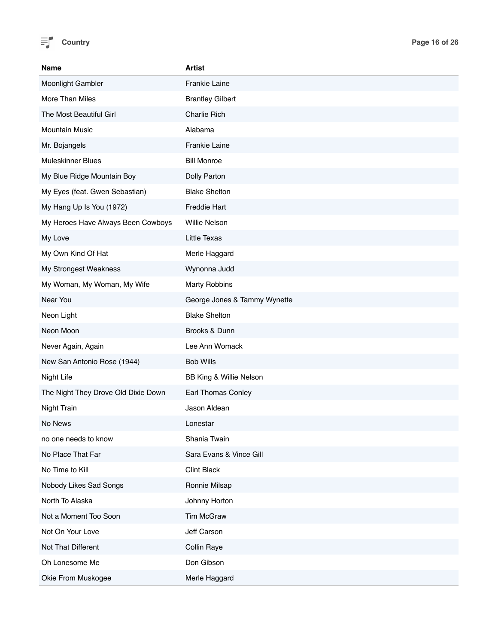

| Name                                | <b>Artist</b>                |
|-------------------------------------|------------------------------|
| Moonlight Gambler                   | <b>Frankie Laine</b>         |
| More Than Miles                     | <b>Brantley Gilbert</b>      |
| The Most Beautiful Girl             | <b>Charlie Rich</b>          |
| <b>Mountain Music</b>               | Alabama                      |
| Mr. Bojangels                       | <b>Frankie Laine</b>         |
| <b>Muleskinner Blues</b>            | <b>Bill Monroe</b>           |
| My Blue Ridge Mountain Boy          | Dolly Parton                 |
| My Eyes (feat. Gwen Sebastian)      | <b>Blake Shelton</b>         |
| My Hang Up Is You (1972)            | <b>Freddie Hart</b>          |
| My Heroes Have Always Been Cowboys  | <b>Willie Nelson</b>         |
| My Love                             | <b>Little Texas</b>          |
| My Own Kind Of Hat                  | Merle Haggard                |
| My Strongest Weakness               | Wynonna Judd                 |
| My Woman, My Woman, My Wife         | <b>Marty Robbins</b>         |
| Near You                            | George Jones & Tammy Wynette |
| Neon Light                          | <b>Blake Shelton</b>         |
| Neon Moon                           | Brooks & Dunn                |
| Never Again, Again                  | Lee Ann Womack               |
| New San Antonio Rose (1944)         | <b>Bob Wills</b>             |
| Night Life                          | BB King & Willie Nelson      |
| The Night They Drove Old Dixie Down | <b>Earl Thomas Conley</b>    |
| Night Train                         | Jason Aldean                 |
| No News                             | Lonestar                     |
| no one needs to know                | Shania Twain                 |
| No Place That Far                   | Sara Evans & Vince Gill      |
| No Time to Kill                     | <b>Clint Black</b>           |
| Nobody Likes Sad Songs              | Ronnie Milsap                |
| North To Alaska                     | Johnny Horton                |
| Not a Moment Too Soon               | <b>Tim McGraw</b>            |
| Not On Your Love                    | Jeff Carson                  |
| Not That Different                  | Collin Raye                  |
| Oh Lonesome Me                      | Don Gibson                   |
| Okie From Muskogee                  | Merle Haggard                |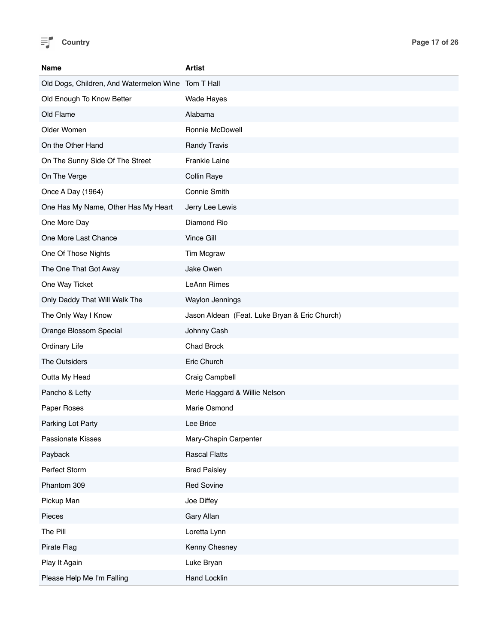

| <b>Name</b>                                        | <b>Artist</b>                                 |
|----------------------------------------------------|-----------------------------------------------|
| Old Dogs, Children, And Watermelon Wine Tom T Hall |                                               |
| Old Enough To Know Better                          | Wade Hayes                                    |
| Old Flame                                          | Alabama                                       |
| Older Women                                        | Ronnie McDowell                               |
| On the Other Hand                                  | <b>Randy Travis</b>                           |
| On The Sunny Side Of The Street                    | <b>Frankie Laine</b>                          |
| On The Verge                                       | Collin Raye                                   |
| Once A Day (1964)                                  | Connie Smith                                  |
| One Has My Name, Other Has My Heart                | Jerry Lee Lewis                               |
| One More Day                                       | Diamond Rio                                   |
| One More Last Chance                               | Vince Gill                                    |
| One Of Those Nights                                | Tim Mcgraw                                    |
| The One That Got Away                              | Jake Owen                                     |
| One Way Ticket                                     | LeAnn Rimes                                   |
| Only Daddy That Will Walk The                      | Waylon Jennings                               |
| The Only Way I Know                                | Jason Aldean (Feat. Luke Bryan & Eric Church) |
| Orange Blossom Special                             | Johnny Cash                                   |
| <b>Ordinary Life</b>                               | Chad Brock                                    |
| The Outsiders                                      | Eric Church                                   |
| Outta My Head                                      | Craig Campbell                                |
| Pancho & Lefty                                     | Merle Haggard & Willie Nelson                 |
| Paper Roses                                        | Marie Osmond                                  |
| Parking Lot Party                                  | Lee Brice                                     |
| Passionate Kisses                                  | Mary-Chapin Carpenter                         |
| Payback                                            | <b>Rascal Flatts</b>                          |
| Perfect Storm                                      | <b>Brad Paisley</b>                           |
| Phantom 309                                        | <b>Red Sovine</b>                             |
| Pickup Man                                         | Joe Diffey                                    |
| Pieces                                             | Gary Allan                                    |
| The Pill                                           | Loretta Lynn                                  |
| Pirate Flag                                        | Kenny Chesney                                 |
| Play It Again                                      | Luke Bryan                                    |
| Please Help Me I'm Falling                         | Hand Locklin                                  |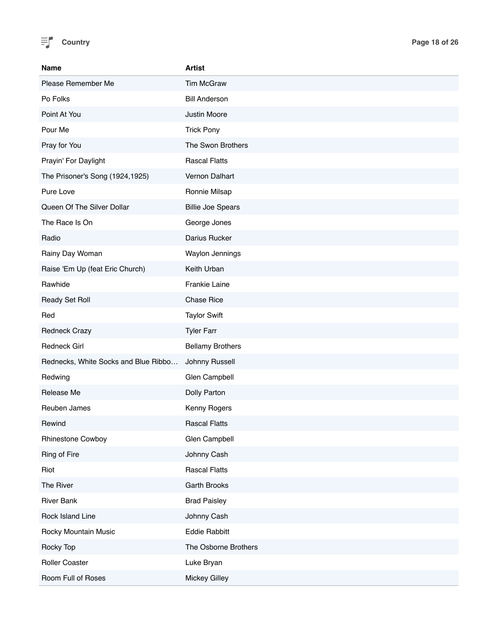

| Name                                 | <b>Artist</b>            |
|--------------------------------------|--------------------------|
| Please Remember Me                   | <b>Tim McGraw</b>        |
| Po Folks                             | <b>Bill Anderson</b>     |
| Point At You                         | Justin Moore             |
| Pour Me                              | <b>Trick Pony</b>        |
| Pray for You                         | The Swon Brothers        |
| Prayin' For Daylight                 | <b>Rascal Flatts</b>     |
| The Prisoner's Song (1924,1925)      | Vernon Dalhart           |
| Pure Love                            | Ronnie Milsap            |
| Queen Of The Silver Dollar           | <b>Billie Joe Spears</b> |
| The Race Is On                       | George Jones             |
| Radio                                | Darius Rucker            |
| Rainy Day Woman                      | Waylon Jennings          |
| Raise 'Em Up (feat Eric Church)      | Keith Urban              |
| Rawhide                              | Frankie Laine            |
| Ready Set Roll                       | <b>Chase Rice</b>        |
| Red                                  | <b>Taylor Swift</b>      |
| <b>Redneck Crazy</b>                 | <b>Tyler Farr</b>        |
| <b>Redneck Girl</b>                  | <b>Bellamy Brothers</b>  |
| Rednecks, White Socks and Blue Ribbo | Johnny Russell           |
| Redwing                              | Glen Campbell            |
| Release Me                           | Dolly Parton             |
| Reuben James                         | Kenny Rogers             |
| Rewind                               | <b>Rascal Flatts</b>     |
| Rhinestone Cowboy                    | Glen Campbell            |
| Ring of Fire                         | Johnny Cash              |
| Riot                                 | <b>Rascal Flatts</b>     |
| The River                            | Garth Brooks             |
| <b>River Bank</b>                    | <b>Brad Paisley</b>      |
| Rock Island Line                     | Johnny Cash              |
| Rocky Mountain Music                 | <b>Eddie Rabbitt</b>     |
| Rocky Top                            | The Osborne Brothers     |
| Roller Coaster                       | Luke Bryan               |
| Room Full of Roses                   | <b>Mickey Gilley</b>     |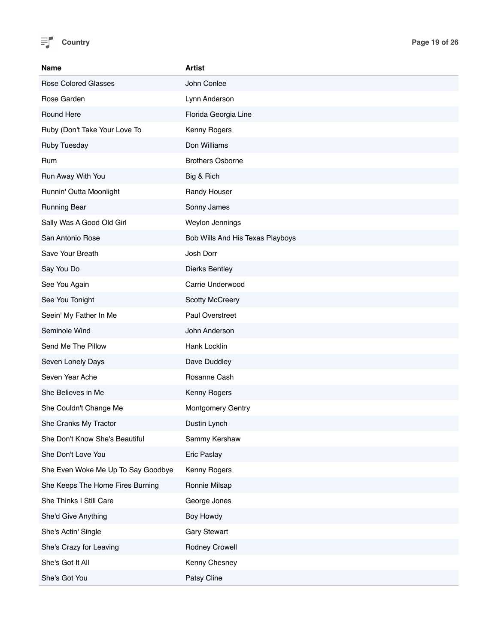

| <b>Name</b>                        | <b>Artist</b>                    |
|------------------------------------|----------------------------------|
| <b>Rose Colored Glasses</b>        | John Conlee                      |
| Rose Garden                        | Lynn Anderson                    |
| Round Here                         | Florida Georgia Line             |
| Ruby (Don't Take Your Love To      | Kenny Rogers                     |
| <b>Ruby Tuesday</b>                | Don Williams                     |
| Rum                                | <b>Brothers Osborne</b>          |
| Run Away With You                  | Big & Rich                       |
| Runnin' Outta Moonlight            | Randy Houser                     |
| <b>Running Bear</b>                | Sonny James                      |
| Sally Was A Good Old Girl          | Weylon Jennings                  |
| San Antonio Rose                   | Bob Wills And His Texas Playboys |
| Save Your Breath                   | Josh Dorr                        |
| Say You Do                         | <b>Dierks Bentley</b>            |
| See You Again                      | Carrie Underwood                 |
| See You Tonight                    | <b>Scotty McCreery</b>           |
| Seein' My Father In Me             | Paul Overstreet                  |
| Seminole Wind                      | John Anderson                    |
| Send Me The Pillow                 | Hank Locklin                     |
| Seven Lonely Days                  | Dave Duddley                     |
| Seven Year Ache                    | Rosanne Cash                     |
| She Believes in Me                 | Kenny Rogers                     |
| She Couldn't Change Me             | Montgomery Gentry                |
| She Cranks My Tractor              | Dustin Lynch                     |
| She Don't Know She's Beautiful     | Sammy Kershaw                    |
| She Don't Love You                 | Eric Paslay                      |
| She Even Woke Me Up To Say Goodbye | Kenny Rogers                     |
| She Keeps The Home Fires Burning   | Ronnie Milsap                    |
| She Thinks I Still Care            | George Jones                     |
| She'd Give Anything                | Boy Howdy                        |
| She's Actin' Single                | <b>Gary Stewart</b>              |
| She's Crazy for Leaving            | Rodney Crowell                   |
| She's Got It All                   | Kenny Chesney                    |
| She's Got You                      | Patsy Cline                      |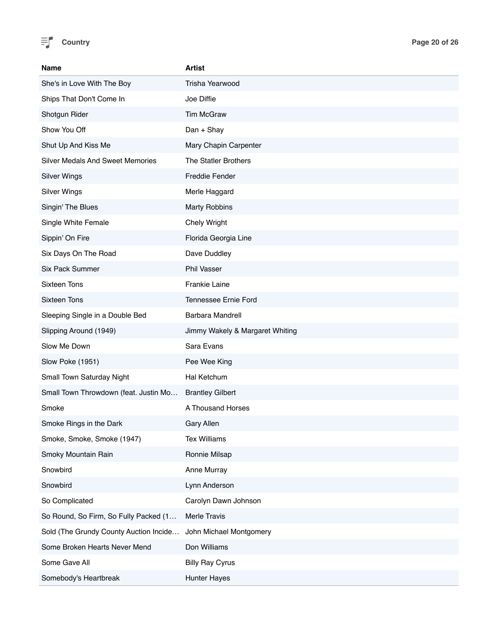

| <b>Name</b>                             | <b>Artist</b>                   |
|-----------------------------------------|---------------------------------|
| She's in Love With The Boy              | <b>Trisha Yearwood</b>          |
| Ships That Don't Come In                | Joe Diffie                      |
| Shotgun Rider                           | <b>Tim McGraw</b>               |
| Show You Off                            | Dan + Shay                      |
| Shut Up And Kiss Me                     | Mary Chapin Carpenter           |
| <b>Silver Medals And Sweet Memories</b> | The Statler Brothers            |
| <b>Silver Wings</b>                     | <b>Freddie Fender</b>           |
| <b>Silver Wings</b>                     | Merle Haggard                   |
| Singin' The Blues                       | <b>Marty Robbins</b>            |
| Single White Female                     | Chely Wright                    |
| Sippin' On Fire                         | Florida Georgia Line            |
| Six Days On The Road                    | Dave Duddley                    |
| <b>Six Pack Summer</b>                  | Phil Vasser                     |
| <b>Sixteen Tons</b>                     | Frankie Laine                   |
| <b>Sixteen Tons</b>                     | Tennessee Ernie Ford            |
| Sleeping Single in a Double Bed         | Barbara Mandrell                |
| Slipping Around (1949)                  | Jimmy Wakely & Margaret Whiting |
| Slow Me Down                            | Sara Evans                      |
| Slow Poke (1951)                        | Pee Wee King                    |
| Small Town Saturday Night               | Hal Ketchum                     |
| Small Town Throwdown (feat. Justin Mo   | <b>Brantley Gilbert</b>         |
| Smoke                                   | A Thousand Horses               |
| Smoke Rings in the Dark                 | <b>Gary Allen</b>               |
| Smoke, Smoke, Smoke (1947)              | <b>Tex Williams</b>             |
| Smoky Mountain Rain                     | Ronnie Milsap                   |
| Snowbird                                | Anne Murray                     |
| Snowbird                                | Lynn Anderson                   |
| So Complicated                          | Carolyn Dawn Johnson            |
| So Round, So Firm, So Fully Packed (1   | Merle Travis                    |
| Sold (The Grundy County Auction Incide  | John Michael Montgomery         |
| Some Broken Hearts Never Mend           | Don Williams                    |
| Some Gave All                           | <b>Billy Ray Cyrus</b>          |
| Somebody's Heartbreak                   | <b>Hunter Hayes</b>             |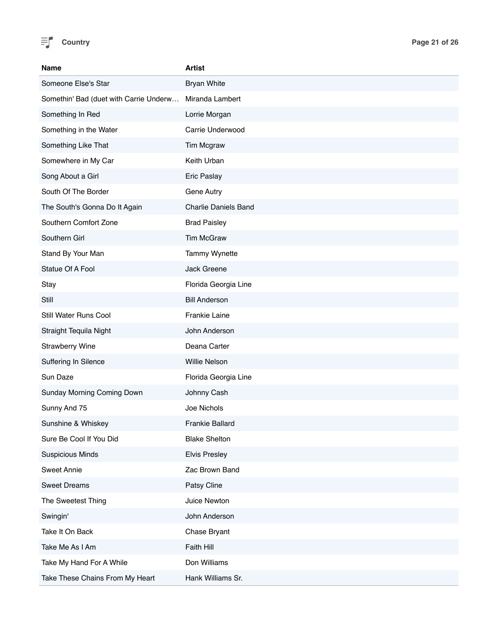

| Name                                   | <b>Artist</b>               |
|----------------------------------------|-----------------------------|
| Someone Else's Star                    | <b>Bryan White</b>          |
| Somethin' Bad (duet with Carrie Underw | Miranda Lambert             |
| Something In Red                       | Lorrie Morgan               |
| Something in the Water                 | Carrie Underwood            |
| Something Like That                    | Tim Mcgraw                  |
| Somewhere in My Car                    | Keith Urban                 |
| Song About a Girl                      | <b>Eric Paslay</b>          |
| South Of The Border                    | Gene Autry                  |
| The South's Gonna Do It Again          | <b>Charlie Daniels Band</b> |
| Southern Comfort Zone                  | <b>Brad Paisley</b>         |
| Southern Girl                          | <b>Tim McGraw</b>           |
| Stand By Your Man                      | Tammy Wynette               |
| Statue Of A Fool                       | Jack Greene                 |
| Stay                                   | Florida Georgia Line        |
| Still                                  | <b>Bill Anderson</b>        |
| Still Water Runs Cool                  | Frankie Laine               |
| Straight Tequila Night                 | John Anderson               |
| <b>Strawberry Wine</b>                 | Deana Carter                |
| Suffering In Silence                   | <b>Willie Nelson</b>        |
| Sun Daze                               | Florida Georgia Line        |
| Sunday Morning Coming Down             | Johnny Cash                 |
| Sunny And 75                           | Joe Nichols                 |
| Sunshine & Whiskey                     | <b>Frankie Ballard</b>      |
| Sure Be Cool If You Did                | <b>Blake Shelton</b>        |
| <b>Suspicious Minds</b>                | <b>Elvis Presley</b>        |
| <b>Sweet Annie</b>                     | Zac Brown Band              |
| <b>Sweet Dreams</b>                    | Patsy Cline                 |
| The Sweetest Thing                     | Juice Newton                |
| Swingin'                               | John Anderson               |
| Take It On Back                        | Chase Bryant                |
| Take Me As I Am                        | Faith Hill                  |
| Take My Hand For A While               | Don Williams                |
| Take These Chains From My Heart        | Hank Williams Sr.           |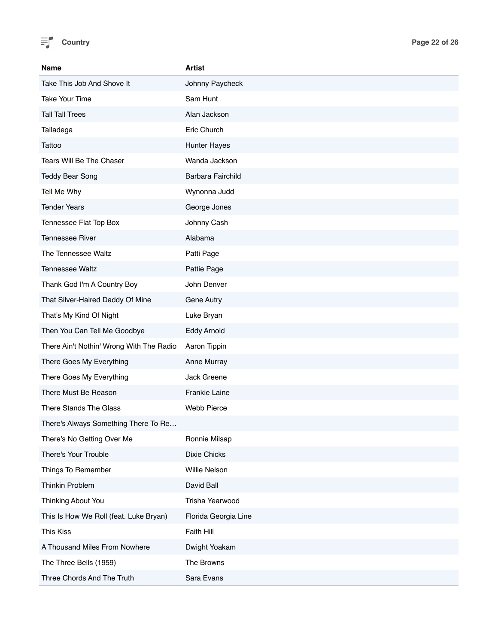

| Name                                     | <b>Artist</b>        |
|------------------------------------------|----------------------|
| Take This Job And Shove It               | Johnny Paycheck      |
| <b>Take Your Time</b>                    | Sam Hunt             |
| <b>Tall Tall Trees</b>                   | Alan Jackson         |
| Talladega                                | Eric Church          |
| Tattoo                                   | Hunter Hayes         |
| Tears Will Be The Chaser                 | Wanda Jackson        |
| <b>Teddy Bear Song</b>                   | Barbara Fairchild    |
| Tell Me Why                              | Wynonna Judd         |
| <b>Tender Years</b>                      | George Jones         |
| Tennessee Flat Top Box                   | Johnny Cash          |
| <b>Tennessee River</b>                   | Alabama              |
| The Tennessee Waltz                      | Patti Page           |
| <b>Tennessee Waltz</b>                   | Pattie Page          |
| Thank God I'm A Country Boy              | John Denver          |
| That Silver-Haired Daddy Of Mine         | Gene Autry           |
| That's My Kind Of Night                  | Luke Bryan           |
| Then You Can Tell Me Goodbye             | <b>Eddy Arnold</b>   |
| There Ain't Nothin' Wrong With The Radio | Aaron Tippin         |
| There Goes My Everything                 | Anne Murray          |
| There Goes My Everything                 | Jack Greene          |
| There Must Be Reason                     | <b>Frankie Laine</b> |
| There Stands The Glass                   | <b>Webb Pierce</b>   |
| There's Always Something There To Re     |                      |
| There's No Getting Over Me               | Ronnie Milsap        |
| There's Your Trouble                     | Dixie Chicks         |
| Things To Remember                       | Willie Nelson        |
| Thinkin Problem                          | David Ball           |
| Thinking About You                       | Trisha Yearwood      |
| This Is How We Roll (feat. Luke Bryan)   | Florida Georgia Line |
| <b>This Kiss</b>                         | Faith Hill           |
| A Thousand Miles From Nowhere            | Dwight Yoakam        |
| The Three Bells (1959)                   | The Browns           |
| Three Chords And The Truth               | Sara Evans           |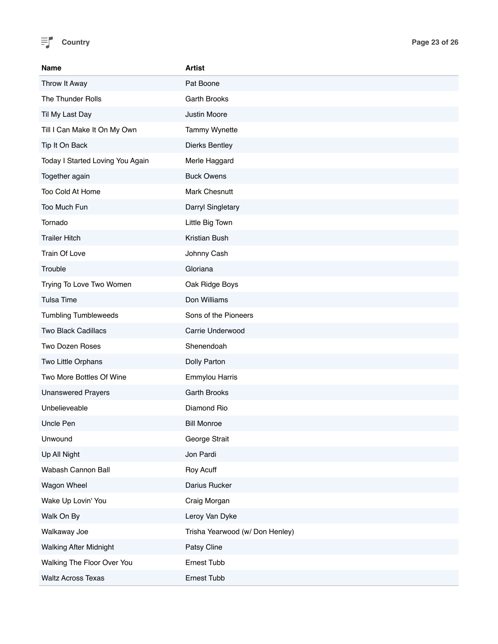

| Name                             | <b>Artist</b>                   |
|----------------------------------|---------------------------------|
| Throw It Away                    | Pat Boone                       |
| The Thunder Rolls                | Garth Brooks                    |
| Til My Last Day                  | Justin Moore                    |
| Till I Can Make It On My Own     | Tammy Wynette                   |
| Tip It On Back                   | <b>Dierks Bentley</b>           |
| Today I Started Loving You Again | Merle Haggard                   |
| Together again                   | <b>Buck Owens</b>               |
| Too Cold At Home                 | Mark Chesnutt                   |
| Too Much Fun                     | Darryl Singletary               |
| Tornado                          | Little Big Town                 |
| <b>Trailer Hitch</b>             | Kristian Bush                   |
| Train Of Love                    | Johnny Cash                     |
| Trouble                          | Gloriana                        |
| Trying To Love Two Women         | Oak Ridge Boys                  |
| <b>Tulsa Time</b>                | Don Williams                    |
| <b>Tumbling Tumbleweeds</b>      | Sons of the Pioneers            |
| <b>Two Black Cadillacs</b>       | Carrie Underwood                |
| Two Dozen Roses                  | Shenendoah                      |
| Two Little Orphans               | Dolly Parton                    |
| Two More Bottles Of Wine         | <b>Emmylou Harris</b>           |
| <b>Unanswered Prayers</b>        | <b>Garth Brooks</b>             |
| Unbelieveable                    | Diamond Rio                     |
| Uncle Pen                        | <b>Bill Monroe</b>              |
| Unwound                          | George Strait                   |
| Up All Night                     | Jon Pardi                       |
| Wabash Cannon Ball               | Roy Acuff                       |
| Wagon Wheel                      | Darius Rucker                   |
| Wake Up Lovin' You               | Craig Morgan                    |
| Walk On By                       | Leroy Van Dyke                  |
| Walkaway Joe                     | Trisha Yearwood (w/ Don Henley) |
| <b>Walking After Midnight</b>    | Patsy Cline                     |
| Walking The Floor Over You       | Ernest Tubb                     |
| <b>Waltz Across Texas</b>        | Ernest Tubb                     |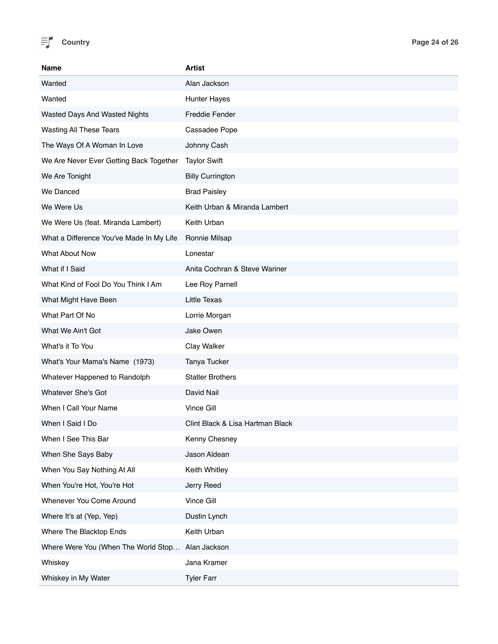

| <b>Name</b>                              | <b>Artist</b>                    |
|------------------------------------------|----------------------------------|
| Wanted                                   | Alan Jackson                     |
| Wanted                                   | <b>Hunter Hayes</b>              |
| Wasted Days And Wasted Nights            | <b>Freddie Fender</b>            |
| Wasting All These Tears                  | Cassadee Pope                    |
| The Ways Of A Woman In Love              | Johnny Cash                      |
| We Are Never Ever Getting Back Together  | <b>Taylor Swift</b>              |
| We Are Tonight                           | <b>Billy Currington</b>          |
| We Danced                                | <b>Brad Paisley</b>              |
| We Were Us                               | Keith Urban & Miranda Lambert    |
| We Were Us (feat. Miranda Lambert)       | Keith Urban                      |
| What a Difference You've Made In My Life | Ronnie Milsap                    |
| What About Now                           | Lonestar                         |
| What if I Said                           | Anita Cochran & Steve Wariner    |
| What Kind of Fool Do You Think I Am      | Lee Roy Parnell                  |
| What Might Have Been                     | <b>Little Texas</b>              |
| What Part Of No                          | Lorrie Morgan                    |
| What We Ain't Got                        | Jake Owen                        |
| What's it To You                         | Clay Walker                      |
| What's Your Mama's Name (1973)           | Tanya Tucker                     |
| Whatever Happened to Randolph            | <b>Statler Brothers</b>          |
| <b>Whatever She's Got</b>                | David Nail                       |
| When I Call Your Name                    | Vince Gill                       |
| When I Said I Do                         | Clint Black & Lisa Hartman Black |
| When I See This Bar                      | Kenny Chesney                    |
| When She Says Baby                       | Jason Aldean                     |
| When You Say Nothing At All              | Keith Whitley                    |
| When You're Hot, You're Hot              | Jerry Reed                       |
| Whenever You Come Around                 | Vince Gill                       |
| Where It's at (Yep, Yep)                 | Dustin Lynch                     |
| Where The Blacktop Ends                  | Keith Urban                      |
| Where Were You (When The World Stop      | Alan Jackson                     |
| Whiskey                                  | Jana Kramer                      |
| Whiskey in My Water                      | <b>Tyler Farr</b>                |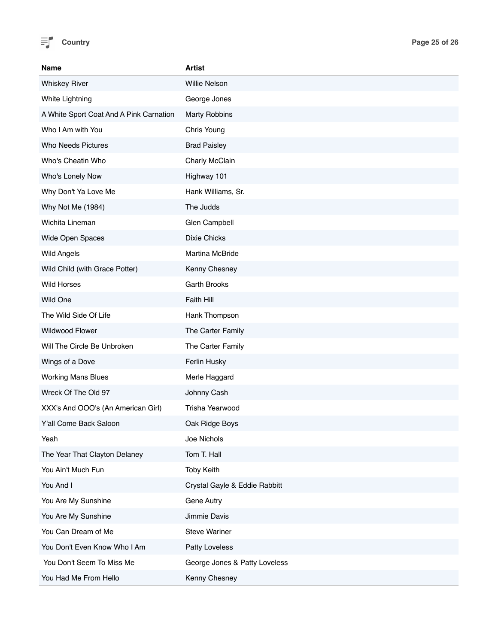

| <b>Name</b>                             | <b>Artist</b>                 |
|-----------------------------------------|-------------------------------|
| <b>Whiskey River</b>                    | <b>Willie Nelson</b>          |
| White Lightning                         | George Jones                  |
| A White Sport Coat And A Pink Carnation | <b>Marty Robbins</b>          |
| Who I Am with You                       | Chris Young                   |
| Who Needs Pictures                      | <b>Brad Paisley</b>           |
| Who's Cheatin Who                       | Charly McClain                |
| Who's Lonely Now                        | Highway 101                   |
| Why Don't Ya Love Me                    | Hank Williams, Sr.            |
| Why Not Me (1984)                       | The Judds                     |
| Wichita Lineman                         | Glen Campbell                 |
| Wide Open Spaces                        | <b>Dixie Chicks</b>           |
| <b>Wild Angels</b>                      | Martina McBride               |
| Wild Child (with Grace Potter)          | Kenny Chesney                 |
| <b>Wild Horses</b>                      | <b>Garth Brooks</b>           |
| Wild One                                | Faith Hill                    |
| The Wild Side Of Life                   | Hank Thompson                 |
| <b>Wildwood Flower</b>                  | The Carter Family             |
| Will The Circle Be Unbroken             | The Carter Family             |
| Wings of a Dove                         | Ferlin Husky                  |
| <b>Working Mans Blues</b>               | Merle Haggard                 |
| Wreck Of The Old 97                     | Johnny Cash                   |
| XXX's And OOO's (An American Girl)      | Trisha Yearwood               |
| Y'all Come Back Saloon                  | Oak Ridge Boys                |
| Yeah                                    | Joe Nichols                   |
| The Year That Clayton Delaney           | Tom T. Hall                   |
| You Ain't Much Fun                      | <b>Toby Keith</b>             |
| You And I                               | Crystal Gayle & Eddie Rabbitt |
| You Are My Sunshine                     | <b>Gene Autry</b>             |
| You Are My Sunshine                     | Jimmie Davis                  |
| You Can Dream of Me                     | <b>Steve Wariner</b>          |
| You Don't Even Know Who I Am            | Patty Loveless                |
| You Don't Seem To Miss Me               | George Jones & Patty Loveless |
| You Had Me From Hello                   | Kenny Chesney                 |